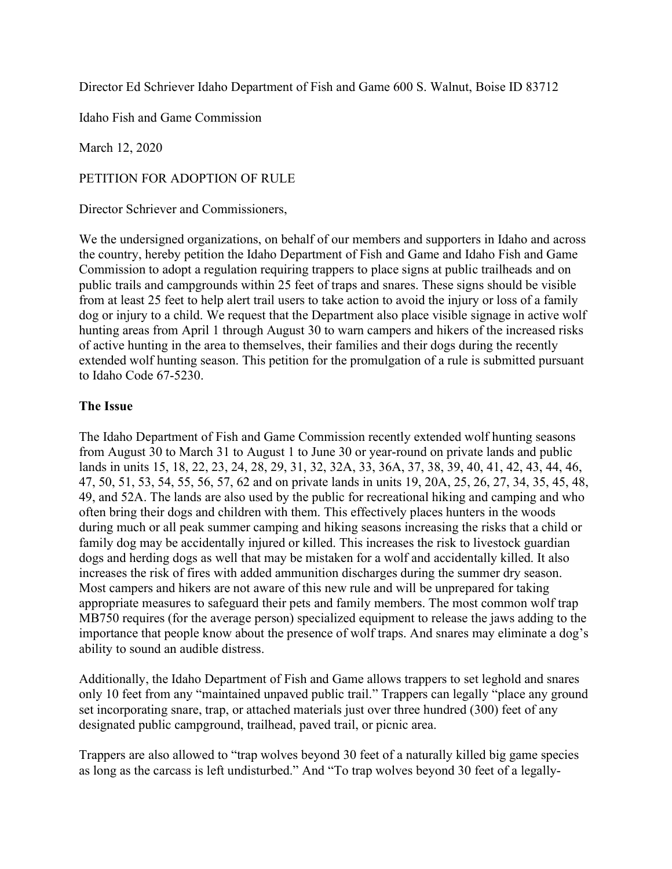Director Ed Schriever Idaho Department of Fish and Game 600 S. Walnut, Boise ID 83712

Idaho Fish and Game Commission

March 12, 2020

PETITION FOR ADOPTION OF RULE

Director Schriever and Commissioners,

We the undersigned organizations, on behalf of our members and supporters in Idaho and across the country, hereby petition the Idaho Department of Fish and Game and Idaho Fish and Game Commission to adopt a regulation requiring trappers to place signs at public trailheads and on public trails and campgrounds within 25 feet of traps and snares. These signs should be visible from at least 25 feet to help alert trail users to take action to avoid the injury or loss of a family dog or injury to a child. We request that the Department also place visible signage in active wolf hunting areas from April 1 through August 30 to warn campers and hikers of the increased risks of active hunting in the area to themselves, their families and their dogs during the recently extended wolf hunting season. This petition for the promulgation of a rule is submitted pursuant to Idaho Code 67-5230.

## The Issue

The Idaho Department of Fish and Game Commission recently extended wolf hunting seasons from August 30 to March 31 to August 1 to June 30 or year-round on private lands and public lands in units 15, 18, 22, 23, 24, 28, 29, 31, 32, 32A, 33, 36A, 37, 38, 39, 40, 41, 42, 43, 44, 46, 47, 50, 51, 53, 54, 55, 56, 57, 62 and on private lands in units 19, 20A, 25, 26, 27, 34, 35, 45, 48, 49, and 52A. The lands are also used by the public for recreational hiking and camping and who often bring their dogs and children with them. This effectively places hunters in the woods during much or all peak summer camping and hiking seasons increasing the risks that a child or family dog may be accidentally injured or killed. This increases the risk to livestock guardian dogs and herding dogs as well that may be mistaken for a wolf and accidentally killed. It also increases the risk of fires with added ammunition discharges during the summer dry season. Most campers and hikers are not aware of this new rule and will be unprepared for taking appropriate measures to safeguard their pets and family members. The most common wolf trap MB750 requires (for the average person) specialized equipment to release the jaws adding to the importance that people know about the presence of wolf traps. And snares may eliminate a dog's ability to sound an audible distress.

Additionally, the Idaho Department of Fish and Game allows trappers to set leghold and snares only 10 feet from any "maintained unpaved public trail." Trappers can legally "place any ground set incorporating snare, trap, or attached materials just over three hundred (300) feet of any designated public campground, trailhead, paved trail, or picnic area.

Trappers are also allowed to "trap wolves beyond 30 feet of a naturally killed big game species as long as the carcass is left undisturbed." And "To trap wolves beyond 30 feet of a legally